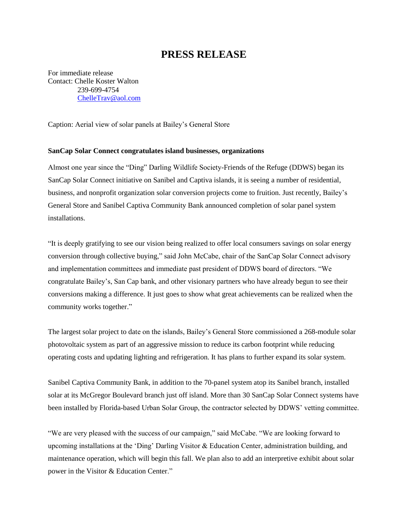## **PRESS RELEASE**

For immediate release Contact: Chelle Koster Walton 239-699-4754 [ChelleTrav@aol.com](mailto:ChelleTrav@aol.com)

Caption: Aerial view of solar panels at Bailey's General Store

## **SanCap Solar Connect congratulates island businesses, organizations**

Almost one year since the "Ding" Darling Wildlife Society-Friends of the Refuge (DDWS) began its SanCap Solar Connect initiative on Sanibel and Captiva islands, it is seeing a number of residential, business, and nonprofit organization solar conversion projects come to fruition. Just recently, Bailey's General Store and Sanibel Captiva Community Bank announced completion of solar panel system installations.

"It is deeply gratifying to see our vision being realized to offer local consumers savings on solar energy conversion through collective buying," said John McCabe, chair of the SanCap Solar Connect advisory and implementation committees and immediate past president of DDWS board of directors. "We congratulate Bailey's, San Cap bank, and other visionary partners who have already begun to see their conversions making a difference. It just goes to show what great achievements can be realized when the community works together."

The largest solar project to date on the islands, Bailey's General Store commissioned a 268-module solar photovoltaic system as part of an aggressive mission to reduce its carbon footprint while reducing operating costs and updating lighting and refrigeration. It has plans to further expand its solar system.

Sanibel Captiva Community Bank, in addition to the 70-panel system atop its Sanibel branch, installed solar at its McGregor Boulevard branch just off island. More than 30 SanCap Solar Connect systems have been installed by Florida-based Urban Solar Group, the contractor selected by DDWS' vetting committee.

"We are very pleased with the success of our campaign," said McCabe. "We are looking forward to upcoming installations at the 'Ding' Darling Visitor & Education Center, administration building, and maintenance operation, which will begin this fall. We plan also to add an interpretive exhibit about solar power in the Visitor & Education Center."